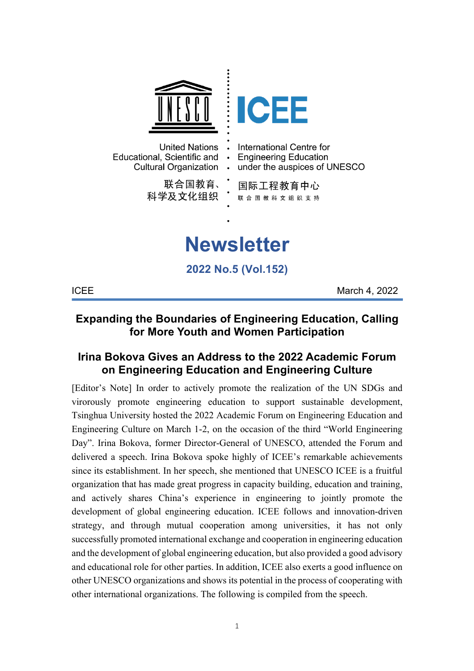

**ICEE** March 4, 2022

## **Expanding the Boundaries of Engineering Education, Calling for More Youth and Women Participation**

## **Irina Bokova Gives an Address to the 2022 Academic Forum on Engineering Education and Engineering Culture**

[Editor's Note] In order to actively promote the realization of the UN SDGs and virorously promote engineering education to support sustainable development, Tsinghua University hosted the 2022 Academic Forum on Engineering Education and Engineering Culture on March 1-2, on the occasion of the third "World Engineering Day". Irina Bokova, former Director-General of UNESCO, attended the Forum and delivered a speech. Irina Bokova spoke highly of ICEE's remarkable achievements since its establishment. In her speech, she mentioned that UNESCO ICEE is a fruitful organization that has made great progress in capacity building, education and training, and actively shares China's experience in engineering to jointly promote the development of global engineering education. ICEE follows and innovation-driven strategy, and through mutual cooperation among universities, it has not only successfully promoted international exchange and cooperation in engineering education and the development of global engineering education, but also provided a good advisory and educational role for other parties. In addition, ICEE also exerts a good influence on other UNESCO organizations and shows its potential in the process of cooperating with other international organizations. The following is compiled from the speech.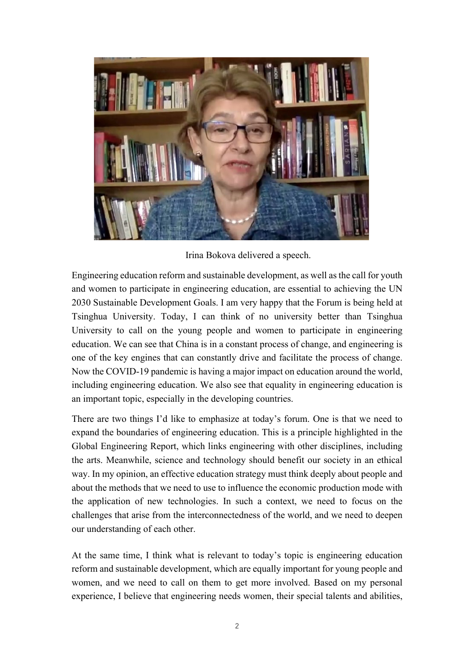

Irina Bokova delivered a speech.

Engineering education reform and sustainable development, as well as the call for youth and women to participate in engineering education, are essential to achieving the UN 2030 Sustainable Development Goals. I am very happy that the Forum is being held at Tsinghua University. Today, I can think of no university better than Tsinghua University to call on the young people and women to participate in engineering education. We can see that China is in a constant process of change, and engineering is one of the key engines that can constantly drive and facilitate the process of change. Now the COVID-19 pandemic is having a major impact on education around the world, including engineering education. We also see that equality in engineering education is an important topic, especially in the developing countries.

There are two things I'd like to emphasize at today's forum. One is that we need to expand the boundaries of engineering education. This is a principle highlighted in the Global Engineering Report, which links engineering with other disciplines, including the arts. Meanwhile, science and technology should benefit our society in an ethical way. In my opinion, an effective education strategy must think deeply about people and about the methods that we need to use to influence the economic production mode with the application of new technologies. In such a context, we need to focus on the challenges that arise from the interconnectedness of the world, and we need to deepen our understanding of each other.

At the same time, I think what is relevant to today's topic is engineering education reform and sustainable development, which are equally important for young people and women, and we need to call on them to get more involved. Based on my personal experience, I believe that engineering needs women, their special talents and abilities,